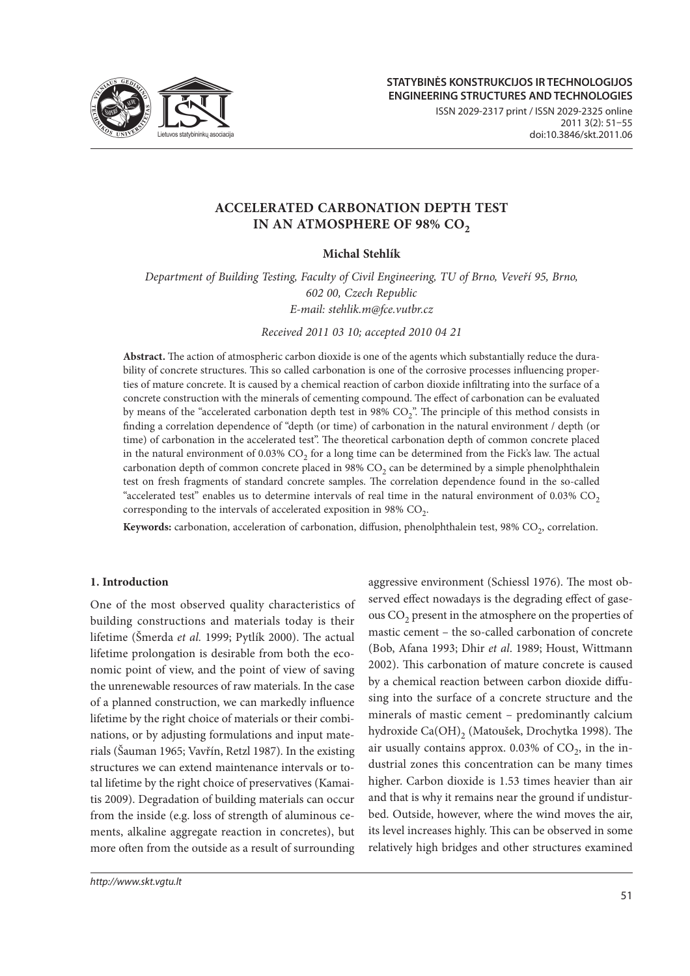

ISSN 2029-2317 print / ISSN 2029-2325 online 2011 3(2): 51–55 doi:10.3846/skt.2011.06

# **ACCELERATED CARBONATION DEPTH TEST IN AN ATMOSPHERE OF 98% CO<sub>2</sub>**

# **Michal Stehlík**

*Department of Building Testing, Faculty of Civil Engineering, TU of Brno, Veveří 95, Brno, 602 00, Czech Republic E-mail: stehlik.m@fce.vutbr.cz*

*Received 2011 03 10; accepted 2010 04 21*

Abstract. The action of atmospheric carbon dioxide is one of the agents which substantially reduce the durability of concrete structures. This so called carbonation is one of the corrosive processes influencing properties of mature concrete. It is caused by a chemical reaction of carbon dioxide infiltrating into the surface of a concrete construction with the minerals of cementing compound. The effect of carbonation can be evaluated by means of the "accelerated carbonation depth test in 98% CO<sub>2</sub>". The principle of this method consists in finding a correlation dependence of "depth (or time) of carbonation in the natural environment / depth (or time) of carbonation in the accelerated test". The theoretical carbonation depth of common concrete placed in the natural environment of  $0.03\%$  CO<sub>2</sub> for a long time can be determined from the Fick's law. The actual carbonation depth of common concrete placed in 98%  $CO<sub>2</sub>$  can be determined by a simple phenolphthalein test on fresh fragments of standard concrete samples. The correlation dependence found in the so-called "accelerated test" enables us to determine intervals of real time in the natural environment of 0.03%  $CO<sub>2</sub>$ corresponding to the intervals of accelerated exposition in 98%  $CO<sub>2</sub>$ .

Keywords: carbonation, acceleration of carbonation, diffusion, phenolphthalein test, 98% CO<sub>2</sub>, correlation.

## **1. Introduction**

One of the most observed quality characteristics of building constructions and materials today is their lifetime (Šmerda *et al.* 1999; Pytlík 2000). The actual lifetime prolongation is desirable from both the economic point of view, and the point of view of saving the unrenewable resources of raw materials. In the case of a planned construction, we can markedly influence lifetime by the right choice of materials or their combinations, or by adjusting formulations and input materials (Šauman 1965; Vavřín, Retzl 1987). In the existing structures we can extend maintenance intervals or total lifetime by the right choice of preservatives (Kamaitis 2009). Degradation of building materials can occur from the inside (e.g. loss of strength of aluminous cements, alkaline aggregate reaction in concretes), but more often from the outside as a result of surrounding

http://www.skt.vgtu.lt

aggressive environment (Schiessl 1976). The most observed effect nowadays is the degrading effect of gaseous  $CO<sub>2</sub>$  present in the atmosphere on the properties of mastic cement – the so-called carbonation of concrete (Bob, Afana 1993; Dhir *et al*. 1989; Houst, Wittmann 2002). This carbonation of mature concrete is caused by a chemical reaction between carbon dioxide diffusing into the surface of a concrete structure and the minerals of mastic cement – predominantly calcium hydroxide Ca(OH)<sub>2</sub> (Matoušek, Drochytka 1998). The air usually contains approx.  $0.03\%$  of  $CO<sub>2</sub>$ , in the industrial zones this concentration can be many times higher. Carbon dioxide is 1.53 times heavier than air and that is why it remains near the ground if undisturbed. Outside, however, where the wind moves the air, its level increases highly. This can be observed in some relatively high bridges and other structures examined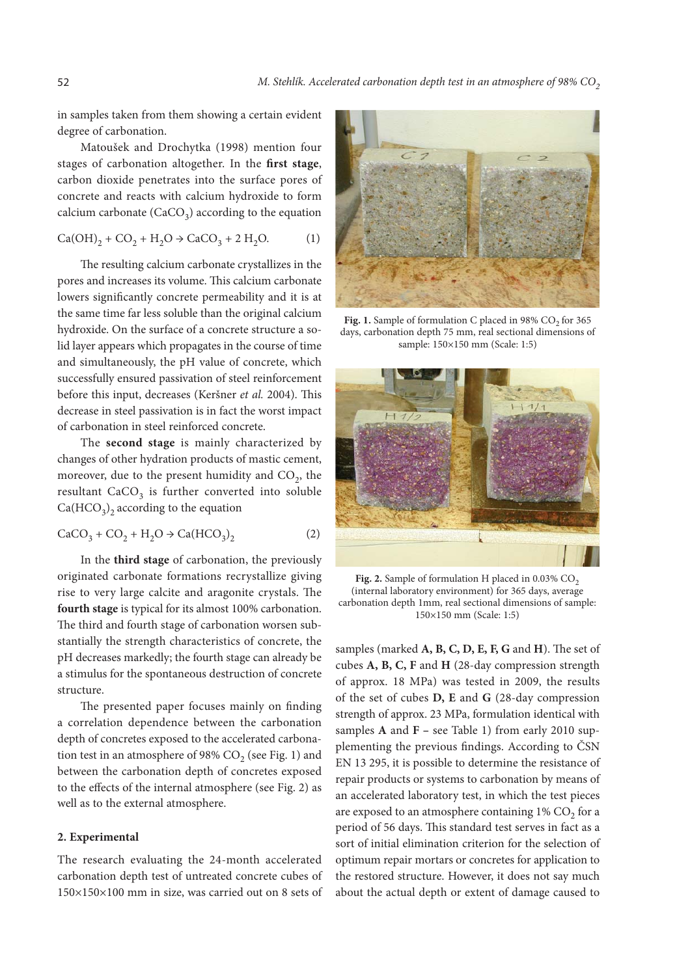in samples taken from them showing a certain evident degree of carbonation.

Matoušek and Drochytka (1998) mention four stages of carbonation altogether. In the first stage, carbon dioxide penetrates into the surface pores of concrete and reacts with calcium hydroxide to form calcium carbonate  $(CaCO<sub>3</sub>)$  according to the equation

$$
Ca(OH)_2 + CO_2 + H_2O \to CaCO_3 + 2 H_2O.
$$
 (1)

The resulting calcium carbonate crystallizes in the pores and increases its volume. This calcium carbonate lowers significantly concrete permeability and it is at the same time far less soluble than the original calcium hydroxide. On the surface of a concrete structure a solid layer appears which propagates in the course of time and simultaneously, the pH value of concrete, which successfully ensured passivation of steel reinforcement before this input, decreases (Keršner et al. 2004). This decrease in steel passivation is in fact the worst impact of carbonation in steel reinforced concrete.

The **second stage** is mainly characterized by changes of other hydration products of mastic cement, moreover, due to the present humidity and  $CO<sub>2</sub>$ , the resultant  $CaCO<sub>3</sub>$  is further converted into soluble  $Ca(HCO<sub>3</sub>)$ <sub>2</sub> according to the equation

$$
CaCO3 + CO2 + H2O \rightarrow Ca(HCO3)2
$$
 (2)

In the **third stage** of carbonation, the previously originated carbonate formations recrystallize giving rise to very large calcite and aragonite crystals. The **fourth stage** is typical for its almost 100% carbonation. The third and fourth stage of carbonation worsen substantially the strength characteristics of concrete, the pH decreases markedly; the fourth stage can already be a stimulus for the spontaneous destruction of concrete structure.

The presented paper focuses mainly on finding a correlation dependence between the carbonation depth of concretes exposed to the accelerated carbonation test in an atmosphere of 98%  $CO<sub>2</sub>$  (see Fig. 1) and between the carbonation depth of concretes exposed to the effects of the internal atmosphere (see Fig. 2) as well as to the external atmosphere.

## **2. Experimental**

The research evaluating the 24-month accelerated carbonation depth test of untreated concrete cubes of 150×150×100 mm in size, was carried out on 8 sets of



Fig. 1. Sample of formulation C placed in 98% CO<sub>2</sub> for 365 days, carbonation depth 75 mm, real sectional dimensions of sample: 150×150 mm (Scale: 1:5)



Fig. 2. Sample of formulation H placed in  $0.03\%$  CO<sub>2</sub> (internal laboratory environment) for 365 days, average carbonation depth 1mm, real sectional dimensions of sample: 150×150 mm (Scale: 1:5)

samples (marked A, B, C, D, E, F, G and H). The set of cubes **A, B, C, F** and **H** (28-day compression strength of approx. 18 MPa) was tested in 2009, the results of the set of cubes **D, E** and **G** (28-day compression strength of approx. 23 MPa, formulation identical with samples **A** and **F –** see Table 1) from early 2010 supplementing the previous findings. According to ČSN EN 13 295, it is possible to determine the resistance of repair products or systems to carbonation by means of an accelerated laboratory test, in which the test pieces are exposed to an atmosphere containing  $1\%$  CO<sub>2</sub> for a period of 56 days. This standard test serves in fact as a sort of initial elimination criterion for the selection of optimum repair mortars or concretes for application to the restored structure. However, it does not say much about the actual depth or extent of damage caused to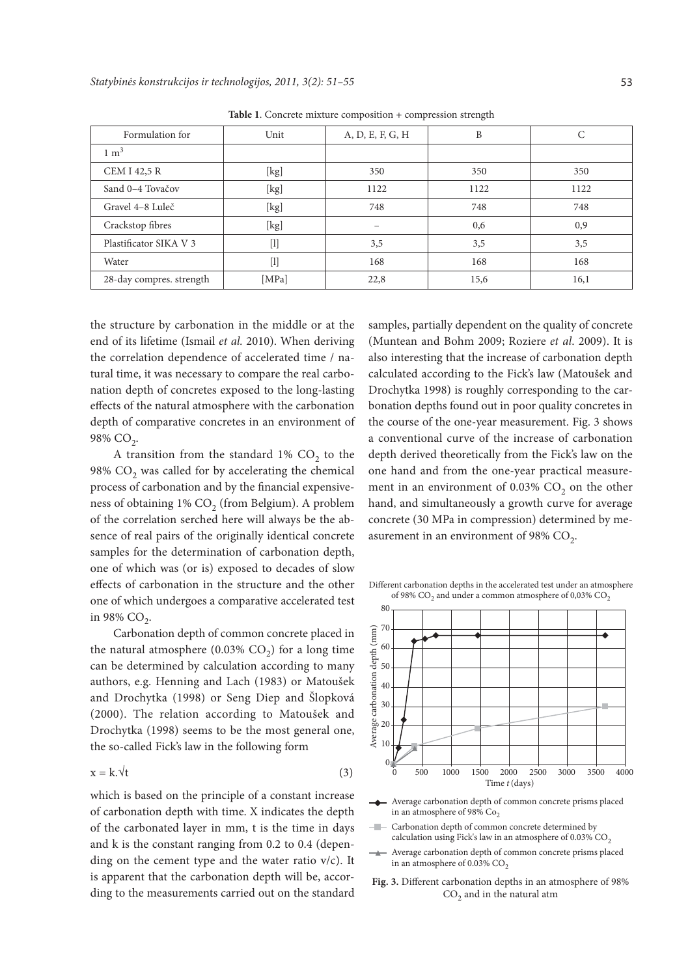| Formulation for          | Unit                                                                                                                                                                                                                                                                           | A, D, E, F, G, H | B    |      |
|--------------------------|--------------------------------------------------------------------------------------------------------------------------------------------------------------------------------------------------------------------------------------------------------------------------------|------------------|------|------|
| $1 \text{ m}^3$          |                                                                                                                                                                                                                                                                                |                  |      |      |
| <b>CEM I 42,5 R</b>      | [kg]                                                                                                                                                                                                                                                                           | 350              | 350  | 350  |
| Sand 0-4 Tovačov         | [kg]                                                                                                                                                                                                                                                                           | 1122             | 1122 | 1122 |
| Gravel 4-8 Luleč         | [kg]                                                                                                                                                                                                                                                                           | 748              | 748  | 748  |
| Crackstop fibres         | [kg]                                                                                                                                                                                                                                                                           |                  | 0,6  | 0,9  |
| Plastificator SIKA V 3   | $[1]$                                                                                                                                                                                                                                                                          | 3,5              | 3,5  | 3,5  |
| Water                    | $[1] % \includegraphics[width=0.9\columnwidth]{figures/fig_10.pdf} \caption{The graph $\mathcal{N}_1$ is a function of the number of~\textit{N}_1$ (left) and the number of~\textit{N}_2$ (right) and the number of~\textit{N}_1$ (right) are shown in Fig.~\ref{fig:10}. } %$ | 168              | 168  | 168  |
| 28-day compres. strength | [MPa]                                                                                                                                                                                                                                                                          | 22,8             | 15,6 | 16,1 |

**Table 1**. Concrete mixture composition + compression strength

the structure by carbonation in the middle or at the end of its lifetime (Ismail *et al.* 2010). When deriving the correlation dependence of accelerated time / natural time, it was necessary to compare the real carbonation depth of concretes exposed to the long-lasting effects of the natural atmosphere with the carbonation depth of comparative concretes in an environment of 98% CO<sub>2</sub>.

A transition from the standard  $1\%$  CO<sub>2</sub> to the 98%  $CO<sub>2</sub>$  was called for by accelerating the chemical process of carbonation and by the financial expensiveness of obtaining 1% CO<sub>2</sub> (from Belgium). A problem of the correlation serched here will always be the absence of real pairs of the originally identical concrete samples for the determination of carbonation depth, one of which was (or is) exposed to decades of slow effects of carbonation in the structure and the other one of which undergoes a comparative accelerated test in 98%  $CO<sub>2</sub>$ .

Carbonation depth of common concrete placed in the natural atmosphere (0.03%  $CO<sub>2</sub>$ ) for a long time can be determined by calculation according to many authors, e.g. Henning and Lach (1983) or Matoušek and Drochytka (1998) or Seng Diep and Šlopková (2000). The relation according to Matoušek and Drochytka (1998) seems to be the most general one, the so-called Fick's law in the following form

$$
x = k.\forall t \tag{3}
$$

which is based on the principle of a constant increase of carbonation depth with time. X indicates the depth of the carbonated layer in mm, t is the time in days and k is the constant ranging from 0.2 to 0.4 (depending on the cement type and the water ratio  $v/c$ ). It is apparent that the carbonation depth will be, according to the measurements carried out on the standard

samples, partially dependent on the quality of concrete (Muntean and Bohm 2009; Roziere *et al*. 2009). It is also interesting that the increase of carbonation depth calculated according to the Fick's law (Matoušek and Drochytka 1998) is roughly corresponding to the carbonation depths found out in poor quality concretes in the course of the one-year measurement. Fig. 3 shows a conventional curve of the increase of carbonation depth derived theoretically from the Fick's law on the one hand and from the one-year practical measurement in an environment of  $0.03\%$  CO<sub>2</sub> on the other hand, and simultaneously a growth curve for average concrete (30 MPa in compression) determined by measurement in an environment of 98%  $CO<sub>2</sub>$ .

Different carbonation depths in the accelerated test under an atmosphere of 98%  $\mathrm{CO}_2$  and under a common atmosphere of 0,03%  $\mathrm{CO}_2$ 



- Average carbonation depth of common concrete prisms placed in an atmosphere of 98%  $Co<sub>2</sub>$
- $\sim$  0.0  $\sim$ Carbonation depth of common concrete determined by calculation using Fick's law in an atmosphere of 0.03%  $\mathrm{CO}_2$
- Average carbonation depth of common concrete prisms placed in an atmosphere of 0.03%  $CO<sub>2</sub>$
- Fig. 3. Different carbonation depths in an atmosphere of 98%  $CO<sub>2</sub>$  and in the natural atm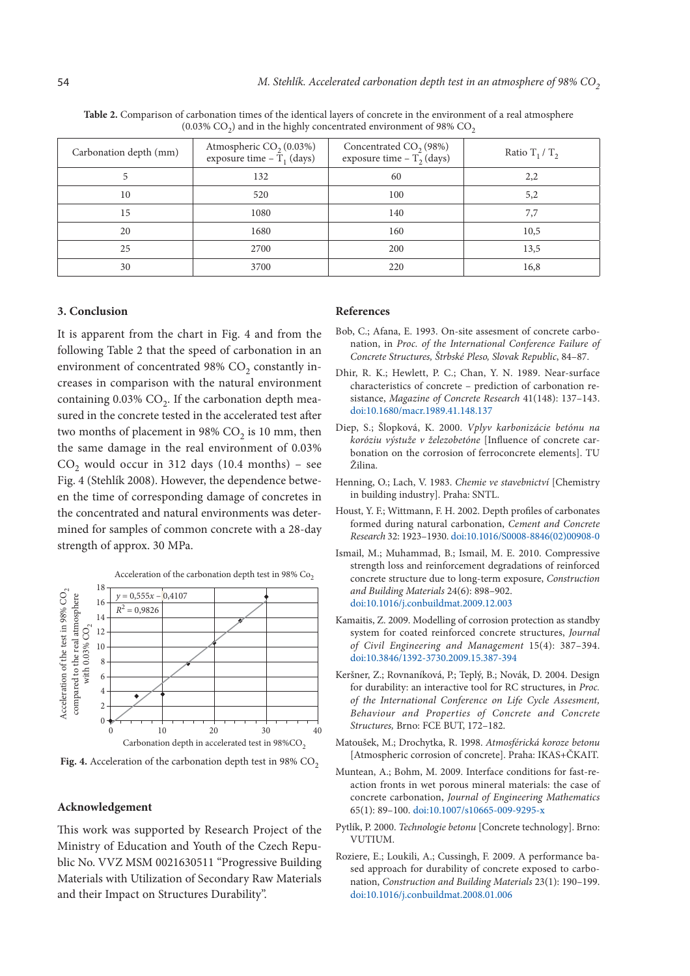| Carbonation depth (mm) | Atmospheric $CO2 (0.03%)$<br>exposure time $-T_1$ (days) | Concentrated $CO2$ (98%)<br>exposure time $-T_2$ (days) | Ratio $T_1/T_2$ |
|------------------------|----------------------------------------------------------|---------------------------------------------------------|-----------------|
|                        | 132                                                      | 60                                                      | 2,2             |
| 10                     | 520                                                      | 100                                                     | 5,2             |
| 15                     | 1080                                                     | 140                                                     | 7,7             |
| 20                     | 1680                                                     | 160                                                     | 10,5            |
| 25                     | 2700                                                     | 200                                                     | 13,5            |
| 30                     | 3700                                                     | 220                                                     | 16,8            |

**Table 2.** Comparison of carbonation times of the identical layers of concrete in the environment of a real atmosphere (0.03%  $CO<sub>2</sub>$ ) and in the highly concentrated environment of 98%  $CO<sub>2</sub>$ 

#### **3. Conclusion**

It is apparent from the chart in Fig. 4 and from the following Table 2 that the speed of carbonation in an environment of concentrated 98%  $CO<sub>2</sub>$  constantly increases in comparison with the natural environment containing  $0.03\%$  CO<sub>2</sub>. If the carbonation depth measured in the concrete tested in the accelerated test after two months of placement in 98%  $CO<sub>2</sub>$  is 10 mm, then the same damage in the real environment of 0.03%  $CO<sub>2</sub>$  would occur in 312 days (10.4 months) – see Fig. 4 (Stehlík 2008). However, the dependence between the time of corresponding damage of concretes in the concentrated and natural environments was determined for samples of common concrete with a 28-day strength of approx. 30 MPa.



Acceleration of the carbonation depth test in 98%  $Co<sub>2</sub>$ 

**Fig. 4.** Acceleration of the carbonation depth test in 98%  $CO<sub>2</sub>$ 

## **Acknowledgement**

This work was supported by Research Project of the Ministry of Education and Youth of the Czech Republic No. VVZ MSM 0021630511 "Progressive Building Materials with Utilization of Secondary Raw Materials and their Impact on Structures Durability".

### **References**

- Bob, C.; Afana, E. 1993. On-site assesment of concrete carbonation, in *Proc. of the International Conference Failure of Concrete Structures, Štrbské Pleso, Slovak Republic*, 84–87.
- Dhir, R. K.; Hewlett, P. C.; Chan, Y. N. 1989. Near-surface characteristics of concrete – prediction of carbonation resistance, *Magazine of Concrete Research* 41(148): 137–143. doi:10.1680/macr.1989.41.148.137
- Diep, S.; Šlopková, K. 2000. *Vplyv karbonizácie betónu na koróziu výstuže v železobetóne* [Influence of concrete carbonation on the corrosion of ferroconcrete elements]. TU Žilina.
- Henning, O.; Lach, V. 1983. *Chemie ve stavebnictví* [Chemistry in building industry]. Praha: SNTL.
- Houst, Y. F.; Wittmann, F. H. 2002. Depth profiles of carbonates formed during natural carbonation, *Cement and Concrete Research* 32: 1923–1930. doi:10.1016/S0008-8846(02)00908-0
- Ismail, M.; Muhammad, B.; Ismail, M. E. 2010. Compressive strength loss and reinforcement degradations of reinforced concrete structure due to long-term exposure, *Construction and Building Materials* 24(6): 898–902. doi:10.1016/j.conbuildmat.2009.12.003
- Kamaitis, Z. 2009. Modelling of corrosion protection as standby system for coated reinforced concrete structures, *Journal of Civil Engineering and Management* 15(4): 387–394. doi:10.3846/1392-3730.2009.15.387-394
- Keršner, Z.; Rovnaníková, P.; Teplý, B.; Novák, D. 2004. Design for durability: an interactive tool for RC structures, in *Proc. of the International Conference on Life Cycle Assesment, Behaviour and Properties of Concrete and Concrete Structures,* Brno: FCE BUT, 172–182.
- Matoušek, M.; Drochytka, R. 1998. *Atmosférická koroze betonu* [Atmospheric corrosion of concrete]. Praha: IKAS+ČKAIT.
- Muntean, A.; Bohm, M. 2009. Interface conditions for fast-reaction fronts in wet porous mineral materials: the case of concrete carbonation, *Journal of Engineering Mathematics* 65(1): 89–100. doi:10.1007/s10665-009-9295-x
- Pytlík, P. 2000. *Technologie betonu* [Concrete technology]. Brno: VUTIUM.
- Roziere, E.; Loukili, A.; Cussingh, F. 2009. A performance based approach for durability of concrete exposed to carbonation, *Construction and Building Materials* 23(1): 190–199. doi:10.1016/j.conbuildmat.2008.01.006